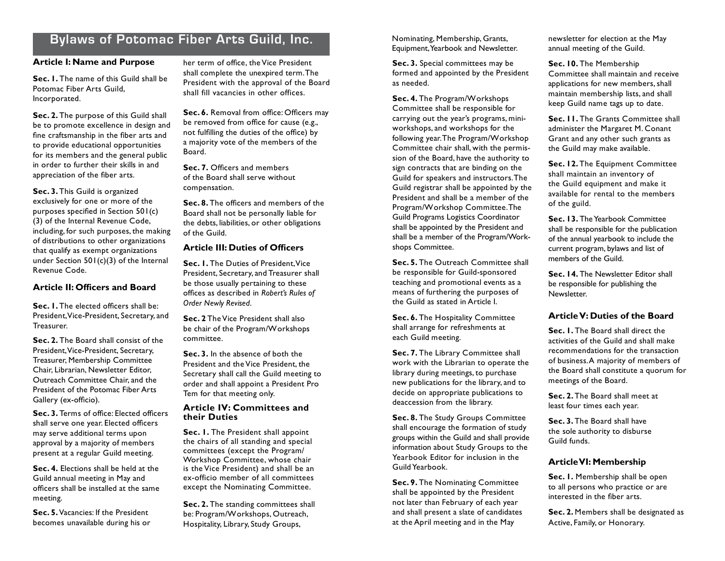# **Bylaws of Potomac Fiber Arts Guild, Inc.**

#### **Article I: Name and Purpose**

**Sec. 1.** The name of this Guild shall be Potomac Fiber Arts Guild, Incorporated.

**Sec. 2.** The purpose of this Guild shall be to promote excellence in design and fine craftsmanship in the fiber arts and to provide educational opportunities for its members and the general public in order to further their skills in and appreciation of the fiber arts.

**Sec. 3.** This Guild is organized exclusively for one or more of the purposes specified in Section 501(c) (3) of the Internal Revenue Code, including, for such purposes, the making of distributions to other organizations that qualify as exempt organizations under Section 501(c)(3) of the Internal Revenue Code.

#### **Article II: Officers and Board**

**Sec. 1.** The elected officers shall be: President, Vice-President, Secretary, and **Treasurer** 

**Sec. 2.** The Board shall consist of the President, Vice-President, Secretary, Treasurer, Membership Committee Chair, Librarian, Newsletter Editor, Outreach Committee Chair, and the President of the Potomac Fiber Arts Gallery (ex-officio).

**Sec. 3.** Terms of office: Elected officers shall serve one year. Elected officers may serve additional terms upon approval by a majority of members present at a regular Guild meeting.

**Sec. 4.** Elections shall be held at the Guild annual meeting in May and officers shall be installed at the same meeting.

**Sec. 5.** Vacancies: If the President becomes unavailable during his or her term of office, the Vice President shall complete the unexpired term. The President with the approval of the Board shall fill vacancies in other offices.

**Sec. 6.** Removal from office: Officers may be removed from office for cause (e.g., not fulfilling the duties of the office) by a majority vote of the members of the Board.

**Sec. 7.** Officers and members of the Board shall serve without compensation.

**Sec. 8.** The officers and members of the Board shall not be personally liable for the debts, liabilities, or other obligations of the Guild.

#### **Article III: Duties of Officers**

**Sec. I.** The Duties of President, Vice President, Secretary, and Treasurer shall be those usually pertaining to these offices as described in *Robert's Rules of Order Newly Revised*.

**Sec. 2** The Vice President shall also be chair of the Program/W orkshops committee.

**Sec. 3.** In the absence of both the President and the Vice President, the Secretary shall call the Guild meeting to order and shall appoint a President Pro Tem for that meeting only.

#### **Article IV: Committees and their Duties**

Sec. I. The President shall appoint the chairs of all standing and special committees (except the Program/ Workshop Committee, whose chair is the Vice President) and shall be an ex-officio member of all committees except the Nominating Committee.

**Sec. 2.** The standing committees shall be: Program/W orkshops, Outreach, Hospitality, Library, Study Groups,

Nominating, Membership, Grants, Equipment, Yearbook and Newsletter.

**Sec. 3.** Special committees may be formed and appointed by the President as needed.

**Sec. 4.** The Program/W orkshops Committee shall be responsible for carrying out the year's programs, miniworkshops, and workshops for the following year. The Program/W orkshop Committee chair shall, with the permission of the Board, have the authority to sign contracts that are binding on the Guild for speakers and instructors. The Guild registrar shall be appointed by the President and shall be a member of the Program/W orkshop Committee. The Guild Programs Logistics Coordinator shall be appointed by the President and shall be a member of the Program/Workshops Committee.

**Sec. 5.** The Outreach Committee shall be responsible for Guild-sponsored teaching and promotional events as a means of furthering the purposes of the Guild as stated in Article I.

**Sec. 6.** The Hospitality Committee shall arrange for refreshments at each Guild meeting.

**Sec. 7.** The Library Committee shall work with the Librarian to operate the library during meetings, to purchase new publications for the library, and to decide on appropriate publications to deaccession from the library.

**Sec. 8.** The Study Groups Committee shall encourage the formation of study groups within the Guild and shall provide information about Study Groups to the Yearbook Editor for inclusion in the Guild Yearbook.

**Sec. 9.** The Nominating Committee shall be appointed by the President not later than February of each year and shall present a slate of candidates at the April meeting and in the May

newsletter for election at the May annual meeting of the Guild.

**Sec. 10.** The Membership Committee shall maintain and receive applications for new members, shall maintain membership lists, and shall keep Guild name tags up to date.

**Sec. 11. The Grants Committee shall** administer the Margaret M. Conant Grant and any other such grants as the Guild may make available.

**Sec. 12.** The Equipment Committee shall maintain an inventory of the Guild equipment and make it available for rental to the members of the guild.

**Sec. 13.** The Yearbook Committee shall be responsible for the publication of the annual yearbook to include the current program, bylaws and list of members of the Guild.

**Sec. 14.** The Newsletter Editor shall be responsible for publishing the Newsletter.

#### **Article V: Duties of the Board**

**Sec. 1.** The Board shall direct the activities of the Guild and shall make recommendations for the transaction of business. A majority of members of the Board shall constitute a quorum for meetings of the Board.

**Sec. 2.** The Board shall meet at least four times each year.

**Sec. 3.** The Board shall have the sole authority to disburse Guild funds.

### **Article VI: Membership**

**Sec. 1.** Membership shall be open to all persons who practice or are interested in the fiber arts.

**Sec. 2.** Members shall be designated as Active, Family, or Honorary.